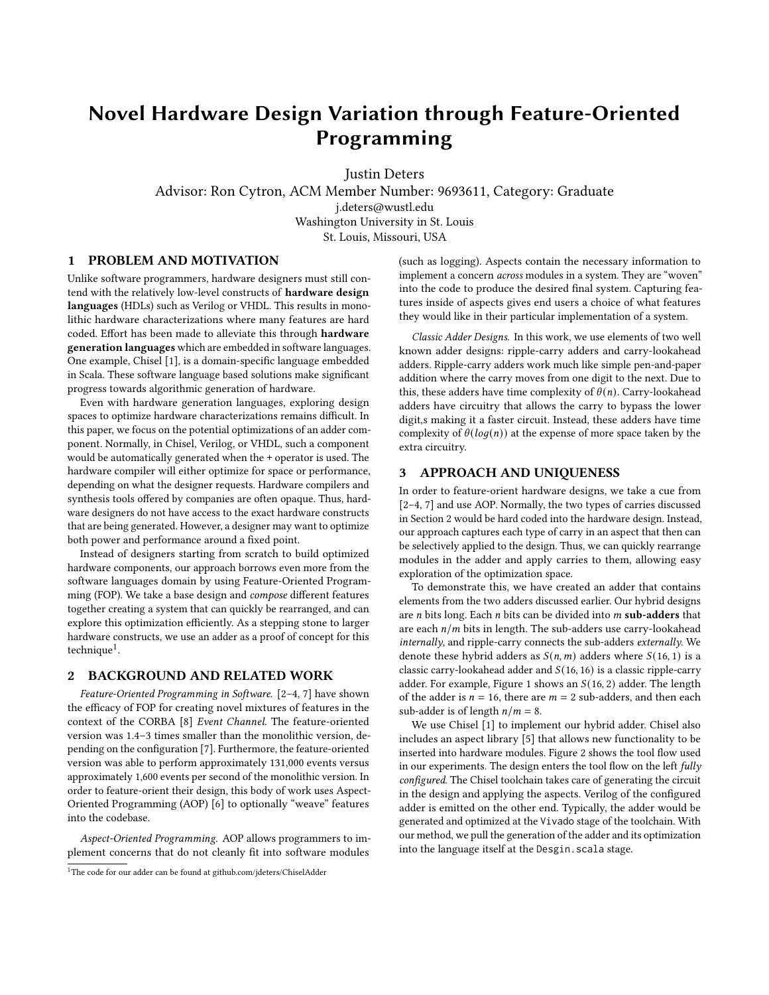# Novel Hardware Design Variation through Feature-Oriented Programming

Justin Deters Advisor: Ron Cytron, ACM Member Number: 9693611, Category: Graduate j.deters@wustl.edu Washington University in St. Louis St. Louis, Missouri, USA

# 1 PROBLEM AND MOTIVATION

Unlike software programmers, hardware designers must still contend with the relatively low-level constructs of hardware design languages (HDLs) such as Verilog or VHDL. This results in monolithic hardware characterizations where many features are hard coded. Effort has been made to alleviate this through hardware generation languages which are embedded in software languages. One example, Chisel [\[1\]](#page-1-0), is a domain-specific language embedded in Scala. These software language based solutions make significant progress towards algorithmic generation of hardware.

Even with hardware generation languages, exploring design spaces to optimize hardware characterizations remains difficult. In this paper, we focus on the potential optimizations of an adder component. Normally, in Chisel, Verilog, or VHDL, such a component would be automatically generated when the + operator is used. The hardware compiler will either optimize for space or performance, depending on what the designer requests. Hardware compilers and synthesis tools offered by companies are often opaque. Thus, hardware designers do not have access to the exact hardware constructs that are being generated. However, a designer may want to optimize both power and performance around a fixed point.

Instead of designers starting from scratch to build optimized hardware components, our approach borrows even more from the software languages domain by using Feature-Oriented Programming (FOP). We take a base design and compose different features together creating a system that can quickly be rearranged, and can explore this optimization efficiently. As a stepping stone to larger hardware constructs, we use an adder as a proof of concept for this technique<sup>[1](#page-0-0)</sup>.

# <span id="page-0-1"></span>2 BACKGROUND AND RELATED WORK

Feature-Oriented Programming in Software. [\[2–](#page-1-1)[4,](#page-1-2) [7\]](#page-1-3) have shown the efficacy of FOP for creating novel mixtures of features in the context of the CORBA [\[8\]](#page-1-4) Event Channel. The feature-oriented version was 1.4–3 times smaller than the monolithic version, depending on the configuration [\[7\]](#page-1-3). Furthermore, the feature-oriented version was able to perform approximately 131,000 events versus approximately 1,600 events per second of the monolithic version. In order to feature-orient their design, this body of work uses Aspect-Oriented Programming (AOP) [\[6\]](#page-1-5) to optionally "weave" features into the codebase.

Aspect-Oriented Programming. AOP allows programmers to implement concerns that do not cleanly fit into software modules

<span id="page-0-0"></span><sup>1</sup>The code for our adder can be found at github.com/jdeters/ChiselAdder

(such as logging). Aspects contain the necessary information to implement a concern across modules in a system. They are "woven" into the code to produce the desired final system. Capturing features inside of aspects gives end users a choice of what features they would like in their particular implementation of a system.

Classic Adder Designs. In this work, we use elements of two well known adder designs: ripple-carry adders and carry-lookahead adders. Ripple-carry adders work much like simple pen-and-paper addition where the carry moves from one digit to the next. Due to this, these adders have time complexity of  $\theta(n)$ . Carry-lookahead adders have circuitry that allows the carry to bypass the lower digit,s making it a faster circuit. Instead, these adders have time complexity of  $\theta(log(n))$  at the expense of more space taken by the extra circuitry.

## 3 APPROACH AND UNIQUENESS

In order to feature-orient hardware designs, we take a cue from [\[2](#page-1-1)[–4,](#page-1-2) [7\]](#page-1-3) and use AOP. Normally, the two types of carries discussed in Section [2](#page-0-1) would be hard coded into the hardware design. Instead, our approach captures each type of carry in an aspect that then can be selectively applied to the design. Thus, we can quickly rearrange modules in the adder and apply carries to them, allowing easy exploration of the optimization space.

To demonstrate this, we have created an adder that contains elements from the two adders discussed earlier. Our hybrid designs are  $n$  bits long. Each  $n$  bits can be divided into  $m$  sub-adders that are each  $n/m$  bits in length. The sub-adders use carry-lookahead internally, and ripple-carry connects the sub-adders externally. We denote these hybrid adders as  $S(n, m)$  adders where  $S(16, 1)$  is a classic carry-lookahead adder and  $S(16, 16)$  is a classic ripple-carry adder. For example, Figure [1](#page-1-6) shows an  $S(16, 2)$  adder. The length of the adder is  $n = 16$ , there are  $m = 2$  sub-adders, and then each sub-adder is of length  $n/m = 8$ .

We use Chisel [\[1\]](#page-1-0) to implement our hybrid adder. Chisel also includes an aspect library [\[5\]](#page-1-7) that allows new functionality to be inserted into hardware modules. Figure [2](#page-1-8) shows the tool flow used in our experiments. The design enters the tool flow on the left  $fully$ configured. The Chisel toolchain takes care of generating the circuit in the design and applying the aspects. Verilog of the configured adder is emitted on the other end. Typically, the adder would be generated and optimized at the Vivado stage of the toolchain. With our method, we pull the generation of the adder and its optimization into the language itself at the Desgin. scala stage.